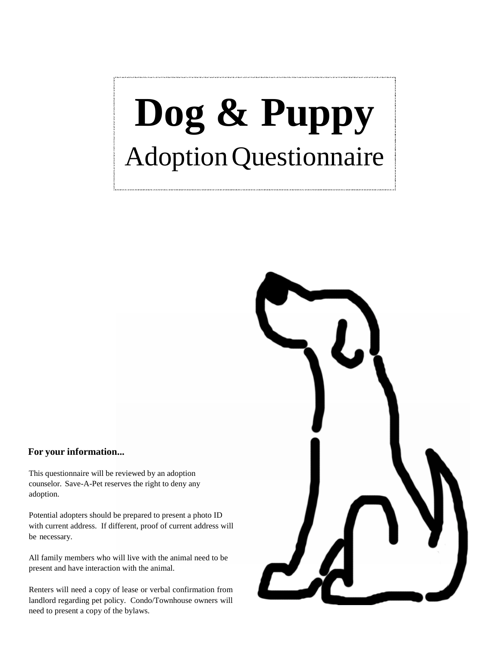## **Dog & Puppy** AdoptionQuestionnaire

## **For your information...**

This questionnaire will be reviewed by an adoption counselor. Save-A-Pet reserves the right to deny any adoption.

Potential adopters should be prepared to present a photo ID with current address. If different, proof of current address will be necessary.

All family members who will live with the animal need to be present and have interaction with the animal.

Renters will need a copy of lease or verbal confirmation from landlord regarding pet policy. Condo/Townhouse owners will need to present a copy of the bylaws.

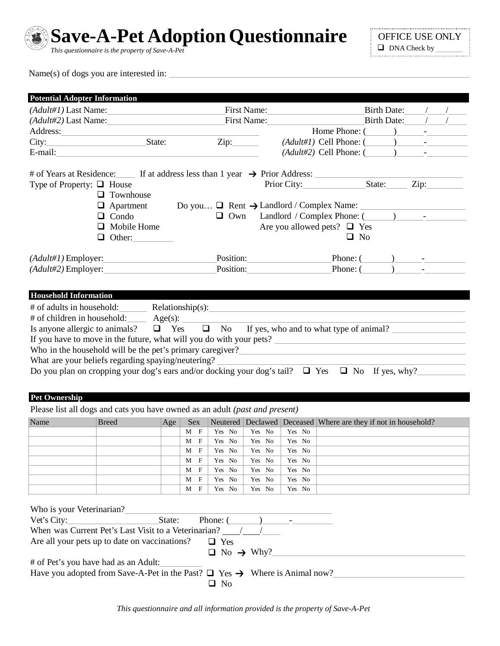

**Save-A-Pet Adoption Questionnaire**

*This questionnaire is the property of Save-A-Pet*

Name(s) of dogs you are interested in:

| <b>Potential Adopter Information</b> |                                                                                                                                                                                                                                |                 |                  |                  |                                                                                                       |                                                                                                                                                                   |                           |  |
|--------------------------------------|--------------------------------------------------------------------------------------------------------------------------------------------------------------------------------------------------------------------------------|-----------------|------------------|------------------|-------------------------------------------------------------------------------------------------------|-------------------------------------------------------------------------------------------------------------------------------------------------------------------|---------------------------|--|
| (Adult#1) Last Name: First Name:     |                                                                                                                                                                                                                                |                 |                  |                  |                                                                                                       |                                                                                                                                                                   | Birth Date: $/$ /         |  |
| (Adult#2) Last Name: First Name:     |                                                                                                                                                                                                                                |                 |                  |                  |                                                                                                       |                                                                                                                                                                   | Birth Date: $\frac{1}{2}$ |  |
|                                      |                                                                                                                                                                                                                                |                 |                  |                  |                                                                                                       | Home Phone: $(\_\_)$ -                                                                                                                                            |                           |  |
|                                      |                                                                                                                                                                                                                                |                 | Zip:             |                  |                                                                                                       | $(Adult\#1)$ Cell Phone: $(\_\_\_\_\_\_\_\_\$                                                                                                                     |                           |  |
|                                      |                                                                                                                                                                                                                                |                 |                  |                  |                                                                                                       | $(Adult \#2)$ Cell Phone: $($                                                                                                                                     |                           |  |
|                                      | # of Years at Residence: If at address less than 1 year $\rightarrow$ Prior Address:                                                                                                                                           |                 |                  |                  |                                                                                                       |                                                                                                                                                                   |                           |  |
| Type of Property: $\Box$ House       |                                                                                                                                                                                                                                |                 |                  |                  |                                                                                                       | Prior City:                                                                                                                                                       |                           |  |
|                                      | $\Box$ Townhouse                                                                                                                                                                                                               |                 |                  |                  |                                                                                                       |                                                                                                                                                                   |                           |  |
|                                      | $\Box$ Apartment                                                                                                                                                                                                               |                 |                  |                  |                                                                                                       | Do you $\Box$ Rent $\rightarrow$ Landlord / Complex Name:                                                                                                         |                           |  |
|                                      | $\Box$ Condo                                                                                                                                                                                                                   |                 | $\Box$ Own       |                  |                                                                                                       | Landlord / Complex Phone: (2008)                                                                                                                                  |                           |  |
|                                      | $\Box$ Mobile Home                                                                                                                                                                                                             |                 |                  |                  |                                                                                                       | Are you allowed pets? $\Box$ Yes                                                                                                                                  |                           |  |
|                                      | $\Box$ Other:                                                                                                                                                                                                                  |                 |                  |                  |                                                                                                       | $\Box$ No                                                                                                                                                         |                           |  |
|                                      |                                                                                                                                                                                                                                |                 |                  |                  |                                                                                                       |                                                                                                                                                                   |                           |  |
|                                      |                                                                                                                                                                                                                                |                 |                  |                  |                                                                                                       | $\text{Position:}\n\begin{picture}(1,0) \label{eq:prob:nonlinear} \end{picture}$ $\text{Position:}\n\begin{picture}(1,0) \label{eq:prob:nonlinear} \end{picture}$ |                           |  |
|                                      | $(Adult#2)$ Employer:                                                                                                                                                                                                          |                 |                  |                  | Position:                                                                                             | Phone: $($ $)$ $-$                                                                                                                                                |                           |  |
|                                      |                                                                                                                                                                                                                                |                 |                  |                  |                                                                                                       |                                                                                                                                                                   |                           |  |
| <b>Household Information</b>         |                                                                                                                                                                                                                                |                 |                  |                  |                                                                                                       |                                                                                                                                                                   |                           |  |
|                                      |                                                                                                                                                                                                                                |                 |                  |                  |                                                                                                       |                                                                                                                                                                   |                           |  |
|                                      | # of adults in household: Relationship(s): Relationship(s) = Relationship(s) = Relationship(s) = Relationship(s) = Relationship(s) = Relationship(s) = Relationship(s) = Relationship(s) = Relationship(s) = Relationship(s) = |                 |                  |                  |                                                                                                       |                                                                                                                                                                   |                           |  |
|                                      |                                                                                                                                                                                                                                |                 |                  |                  |                                                                                                       |                                                                                                                                                                   |                           |  |
|                                      | Is anyone allergic to animals? $\Box$ Yes $\Box$ No If yes, who and to what type of animal?                                                                                                                                    |                 |                  |                  |                                                                                                       |                                                                                                                                                                   |                           |  |
|                                      | If you have to move in the future, what will you do with your pets?                                                                                                                                                            |                 |                  |                  |                                                                                                       |                                                                                                                                                                   |                           |  |
|                                      |                                                                                                                                                                                                                                |                 |                  |                  |                                                                                                       |                                                                                                                                                                   |                           |  |
|                                      | What are your beliefs regarding spaying/neutering?<br>Do you plan on cropping your dog's ears and/or docking your dog's tail? $\Box$ Yes $\Box$ No If yes, why?                                                                |                 |                  |                  |                                                                                                       |                                                                                                                                                                   |                           |  |
|                                      |                                                                                                                                                                                                                                |                 |                  |                  |                                                                                                       |                                                                                                                                                                   |                           |  |
|                                      |                                                                                                                                                                                                                                |                 |                  |                  |                                                                                                       |                                                                                                                                                                   |                           |  |
| <b>Pet Ownership</b>                 |                                                                                                                                                                                                                                |                 |                  |                  |                                                                                                       |                                                                                                                                                                   |                           |  |
|                                      | Please list all dogs and cats you have owned as an adult (past and present)                                                                                                                                                    |                 |                  |                  |                                                                                                       |                                                                                                                                                                   |                           |  |
| Name                                 | Age <br>Breed                                                                                                                                                                                                                  | Sex             |                  |                  |                                                                                                       | Neutered   Declawed   Deceased   Where are they if not in household?                                                                                              |                           |  |
|                                      |                                                                                                                                                                                                                                | $M$ F<br>M<br>F | Yes No<br>Yes No | Yes No<br>Yes No | Yes No<br>Yes No                                                                                      |                                                                                                                                                                   |                           |  |
|                                      |                                                                                                                                                                                                                                | $M$ F           | Yes No           | Yes No           | Yes No                                                                                                |                                                                                                                                                                   |                           |  |
|                                      |                                                                                                                                                                                                                                | М<br>F          | Yes No           | Yes No           | Yes No                                                                                                |                                                                                                                                                                   |                           |  |
|                                      |                                                                                                                                                                                                                                | F<br>M          | Yes No           | Yes No           | Yes No                                                                                                |                                                                                                                                                                   |                           |  |
|                                      |                                                                                                                                                                                                                                | F<br>M          | Yes No           | Yes No           | Yes No                                                                                                |                                                                                                                                                                   |                           |  |
|                                      |                                                                                                                                                                                                                                | F<br>М          | Yes No           | Yes No           | Yes No                                                                                                |                                                                                                                                                                   |                           |  |
|                                      |                                                                                                                                                                                                                                |                 |                  |                  |                                                                                                       |                                                                                                                                                                   |                           |  |
| Who is your Veterinarian?            |                                                                                                                                                                                                                                |                 |                  |                  |                                                                                                       |                                                                                                                                                                   |                           |  |
| Vet's City:                          | State:                                                                                                                                                                                                                         | Phone: (        |                  |                  | $\overline{\phantom{a}}$ ) $\overline{\phantom{a}}$ $\overline{\phantom{a}}$ $\overline{\phantom{a}}$ |                                                                                                                                                                   |                           |  |
|                                      | When was Current Pet's Last Visit to a Veterinarian? /                                                                                                                                                                         |                 |                  |                  |                                                                                                       |                                                                                                                                                                   |                           |  |
|                                      | Are all your pets up to date on vaccinations?                                                                                                                                                                                  |                 | $\Box$ Yes       |                  |                                                                                                       |                                                                                                                                                                   |                           |  |
|                                      |                                                                                                                                                                                                                                |                 |                  |                  |                                                                                                       | $\Box$ No $\rightarrow$ Why?                                                                                                                                      |                           |  |
| # of Pet's you have had as an Adult: |                                                                                                                                                                                                                                |                 |                  |                  |                                                                                                       |                                                                                                                                                                   |                           |  |
|                                      | Have you adopted from Save-A-Pet in the Past? $\Box$ Yes $\rightarrow$ Where is Animal now?                                                                                                                                    |                 |                  |                  |                                                                                                       |                                                                                                                                                                   |                           |  |
|                                      |                                                                                                                                                                                                                                |                 | $\Box$ No        |                  |                                                                                                       |                                                                                                                                                                   |                           |  |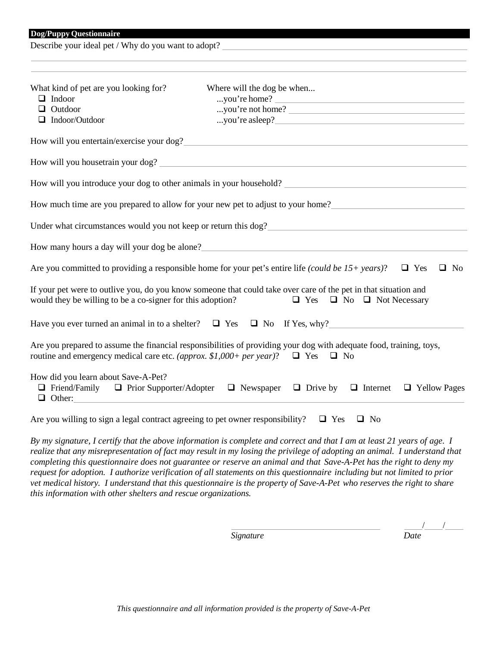Describe your ideal pet / Why do you want to adopt?

| What kind of pet are you looking for?<br>$\Box$ Indoor<br>$\Box$ Outdoor<br>$\Box$ Indoor/Outdoor | Where will the dog be when<br>you're home?<br>you're not home?                                                                                                                                                   |
|---------------------------------------------------------------------------------------------------|------------------------------------------------------------------------------------------------------------------------------------------------------------------------------------------------------------------|
|                                                                                                   |                                                                                                                                                                                                                  |
|                                                                                                   | How will you entertain/exercise your dog?                                                                                                                                                                        |
|                                                                                                   |                                                                                                                                                                                                                  |
|                                                                                                   |                                                                                                                                                                                                                  |
|                                                                                                   | How much time are you prepared to allow for your new pet to adjust to your home?______________________________                                                                                                   |
|                                                                                                   | Under what circumstances would you not keep or return this dog?                                                                                                                                                  |
|                                                                                                   | How many hours a day will your dog be alone?                                                                                                                                                                     |
|                                                                                                   | Are you committed to providing a responsible home for your pet's entire life (could be 15+ years)? $\square$ Yes<br>$\Box$ No                                                                                    |
| would they be willing to be a co-signer for this adoption?                                        | If your pet were to outlive you, do you know someone that could take over care of the pet in that situation and<br>$\Box$ Yes $\Box$ No $\Box$ Not Necessary                                                     |
|                                                                                                   | Have you ever turned an animal in to a shelter? $\Box$ Yes $\Box$ No If Yes, why?                                                                                                                                |
|                                                                                                   | Are you prepared to assume the financial responsibilities of providing your dog with adequate food, training, toys,<br>routine and emergency medical care etc. (approx. \$1,000+ per year)? $\Box$ Yes $\Box$ No |
| How did you learn about Save-A-Pet?<br>$\Box$ Other:                                              | $\Box$ Friend/Family $\Box$ Prior Supporter/Adopter $\Box$ Newspaper $\Box$ Drive by $\Box$ Internet<br>$\Box$ Yellow Pages                                                                                      |
|                                                                                                   | Are you willing to sign a legal contract agreeing to pet owner responsibility? $\Box$ Yes<br>$\Box$ No                                                                                                           |

By my signature, I certify that the above information is complete and correct and that I am at least 21 years of age. I *realize that any misrepresentation of fact may result in my losing the privilege of adopting an animal. I understand that completing this questionnaire does not guarantee or reserve an animal and that Save-A-Pet has the right to deny my* request for adoption. I authorize verification of all statements on this questionnaire including but not limited to prior *vet medical history. I understand that this questionnaire is the property of Save-A-Pet who reserves the right to share this information with other shelters and rescue organizations.*

*Signature Date*

/ /